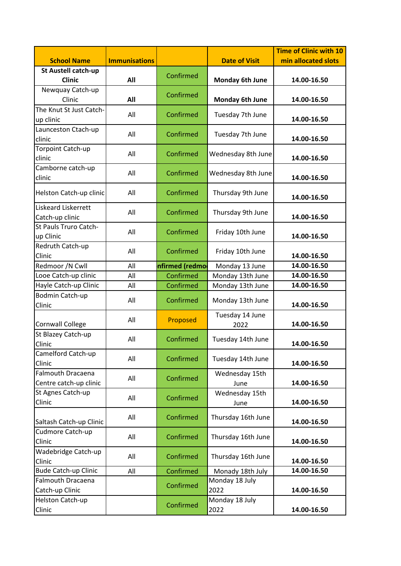| <b>School Name</b>                                 | <b>Immunisations</b> |                | <b>Date of Visit</b>    | <b>Time of Clinic with 10</b><br>min allocated slots |
|----------------------------------------------------|----------------------|----------------|-------------------------|------------------------------------------------------|
| St Austell catch-up                                |                      |                |                         |                                                      |
| <b>Clinic</b>                                      | All                  | Confirmed      | <b>Monday 6th June</b>  | 14.00-16.50                                          |
| Newquay Catch-up<br>Clinic                         | All                  | Confirmed      | Monday 6th June         | 14.00-16.50                                          |
| The Knut St Just Catch-                            |                      |                |                         |                                                      |
| up clinic                                          | All                  | Confirmed      | Tuesday 7th June        | 14.00-16.50                                          |
| Launceston Ctach-up<br>clinic                      | All                  | Confirmed      | Tuesday 7th June        | 14.00-16.50                                          |
| Torpoint Catch-up<br>clinic                        | All                  | Confirmed      | Wednesday 8th June      | 14.00-16.50                                          |
| Camborne catch-up<br>clinic                        | All                  | Confirmed      | Wednesday 8th June      | 14.00-16.50                                          |
| Helston Catch-up clinic                            | All                  | Confirmed      | Thursday 9th June       | 14.00-16.50                                          |
| Liskeard Liskerrett<br>Catch-up clinic             | All                  | Confirmed      | Thursday 9th June       | 14.00-16.50                                          |
| St Pauls Truro Catch-<br>up Clinic                 | All                  | Confirmed      | Friday 10th June        | 14.00-16.50                                          |
| Redruth Catch-up<br>Clinic                         | All                  | Confirmed      | Friday 10th June        | 14.00-16.50                                          |
| Redmoor /N Cwll                                    | All                  | nfirmed (redmo | Monday 13 June          | 14.00-16.50                                          |
| Looe Catch-up clinic                               | All                  | Confirmed      | Monday 13th June        | 14.00-16.50                                          |
| Hayle Catch-up Clinic                              | All                  | Confirmed      | Monday 13th June        | 14.00-16.50                                          |
| Bodmin Catch-up<br>Clinic                          | All                  | Confirmed      | Monday 13th June        | 14.00-16.50                                          |
| <b>Cornwall College</b>                            | All                  | Proposed       | Tuesday 14 June<br>2022 | 14.00-16.50                                          |
| St Blazey Catch-up<br>Clinic                       | All                  | Confirmed      | Tuesday 14th June       | 14.00-16.50                                          |
| Camelford Catch-up<br>Clinic                       | All                  | Confirmed      | Tuesday 14th June       | 14.00-16.50                                          |
| <b>Falmouth Dracaena</b><br>Centre catch-up clinic | All                  | Confirmed      | Wednesday 15th<br>June  | 14.00-16.50                                          |
| St Agnes Catch-up<br>Clinic                        | All                  | Confirmed      | Wednesday 15th<br>June  | 14.00-16.50                                          |
| Saltash Catch-up Clinic                            | All                  | Confirmed      | Thursday 16th June      | 14.00-16.50                                          |
| Cudmore Catch-up<br>Clinic                         | All                  | Confirmed      | Thursday 16th June      | 14.00-16.50                                          |
| Wadebridge Catch-up<br>Clinic                      | All                  | Confirmed      | Thursday 16th June      | 14.00-16.50                                          |
| <b>Bude Catch-up Clinic</b>                        | All                  | Confirmed      | Monady 18th July        | 14.00-16.50                                          |
| <b>Falmouth Dracaena</b>                           |                      | Confirmed      | Monday 18 July          |                                                      |
| Catch-up Clinic                                    |                      |                | 2022                    | 14.00-16.50                                          |
| Helston Catch-up<br>Clinic                         |                      | Confirmed      | Monday 18 July<br>2022  | 14.00-16.50                                          |